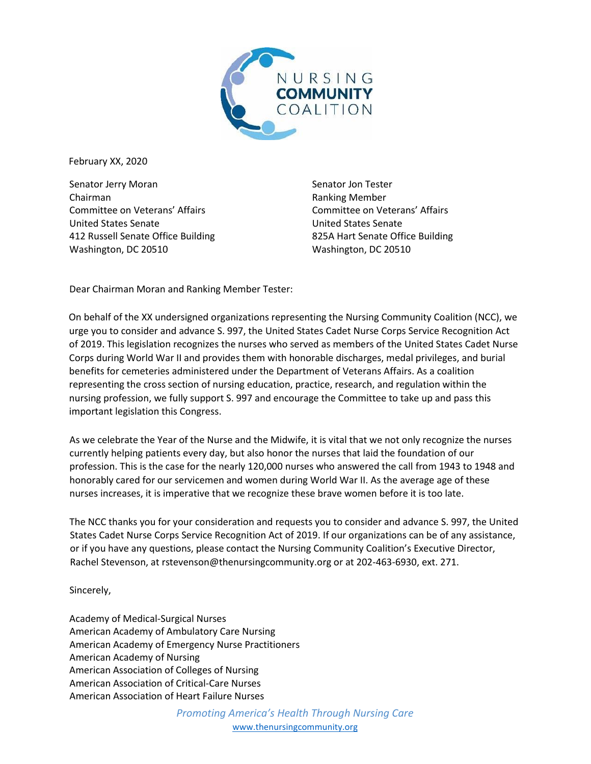

February XX, 2020

Senator Jerry Moran Chairman Committee on Veterans' Affairs United States Senate 412 Russell Senate Office Building Washington, DC 20510

Senator Jon Tester Ranking Member Committee on Veterans' Affairs United States Senate 825A Hart Senate Office Building Washington, DC 20510

Dear Chairman Moran and Ranking Member Tester:

On behalf of the XX undersigned organizations representing the Nursing Community Coalition (NCC), we urge you to consider and advance S. 997, the United States Cadet Nurse Corps Service Recognition Act of 2019. This legislation recognizes the nurses who served as members of the United States Cadet Nurse Corps during World War II and provides them with honorable discharges, medal privileges, and burial benefits for cemeteries administered under the Department of Veterans Affairs. As a coalition representing the cross section of nursing education, practice, research, and regulation within the nursing profession, we fully support S. 997 and encourage the Committee to take up and pass this important legislation this Congress.

As we celebrate the Year of the Nurse and the Midwife, it is vital that we not only recognize the nurses currently helping patients every day, but also honor the nurses that laid the foundation of our profession. This is the case for the nearly 120,000 nurses who answered the call from 1943 to 1948 and honorably cared for our servicemen and women during World War II. As the average age of these nurses increases, it is imperative that we recognize these brave women before it is too late.

The NCC thanks you for your consideration and requests you to consider and advance S. 997, the United States Cadet Nurse Corps Service Recognition Act of 2019. If our organizations can be of any assistance, or if you have any questions, please contact the Nursing Community Coalition's Executive Director, Rachel Stevenson, at rstevenson@thenursingcommunity.org or at 202-463-6930, ext. 271.

Sincerely,

Academy of Medical-Surgical Nurses American Academy of Ambulatory Care Nursing American Academy of Emergency Nurse Practitioners American Academy of Nursing American Association of Colleges of Nursing American Association of Critical-Care Nurses American Association of Heart Failure Nurses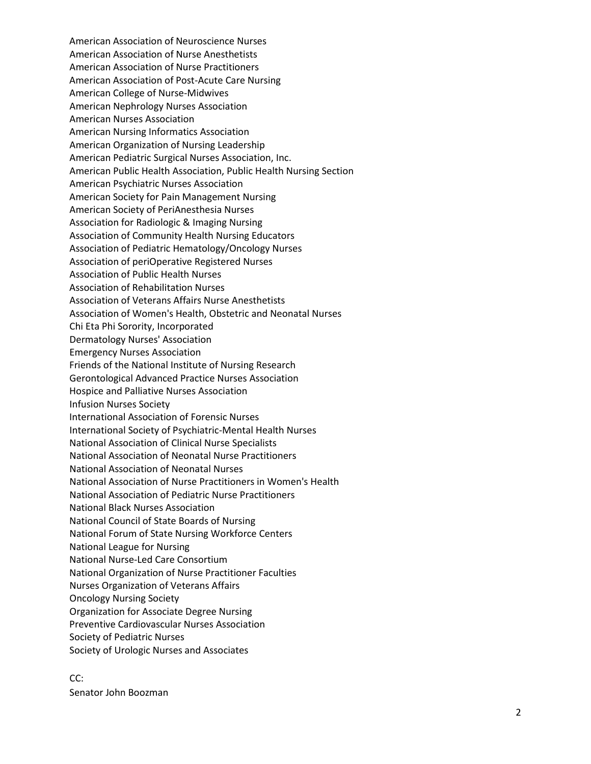American Association of Neuroscience Nurses American Association of Nurse Anesthetists American Association of Nurse Practitioners American Association of Post -Acute Care Nursing American College of Nurse -Midwive s American Nephrology Nurses Association American Nurses Association American Nursing Informatics Association American Organization of Nursing Leadership American Pediatric Surgical Nurses Association, Inc. American Public Health Association, Public Health Nursing Section American Psychiatric Nurses Association American Society for Pain Management Nursing American Society of PeriAnesthesia Nurses Association for Radiologic & Imaging Nursing Association of Community Health Nursing Educators Association of Pediatric Hematology/Oncology Nurses Association of periOperative Registered Nurses Association of Public Health Nurses Association of Rehabilitation Nurses Association of Veterans Affairs Nurse Anesthetists Association of Women's Health, Obstetric and Neonatal Nurses Chi Eta Phi Sorority, Incorporated Dermatology Nurses' Association Emergency Nurses Association Friends of the National Institute of Nursing Research Gerontological Advanced Practice Nurses Association Hospice and Palliative Nurses Association Infusion Nurses Society International Association of Forensic Nurses International Society of Psychiatric -Mental Health Nurses National Association of Clinical Nurse Specialists National Association of Neonatal Nurse Practitioners National Association of Neonatal Nurses National Association of Nurse Practitioners in Women's Health National Association of Pediatric Nurse Practitioners National Black Nurses Association National Council of State Boards of Nursing National Forum of State Nursing Workforce Centers National League for Nursing National Nurse -Led Care Consortium National Organization of Nurse Practitioner Faculties Nurses Organization of Veterans Affairs Oncology Nursing Society Organization for Associate Degree Nursing Preventive Cardiovascular Nurses Association Society of Pediatric Nurses Society of Urologic Nurses and Associates